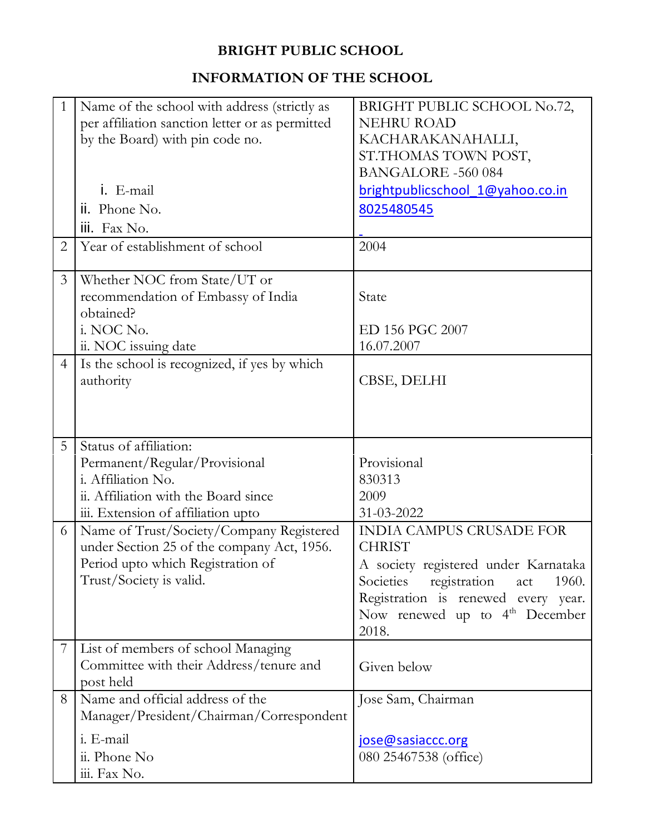#### **BRIGHT PUBLIC SCHOOL**

#### **INFORMATION OF THE SCHOOL**

| $\mathbf{1}$   | Name of the school with address (strictly as    | BRIGHT PUBLIC SCHOOL No.72,                |
|----------------|-------------------------------------------------|--------------------------------------------|
|                | per affiliation sanction letter or as permitted | <b>NEHRU ROAD</b>                          |
|                | by the Board) with pin code no.                 | KACHARAKANAHALLI,                          |
|                |                                                 | ST.THOMAS TOWN POST,                       |
|                |                                                 | <b>BANGALORE -560 084</b>                  |
|                | i. E-mail                                       | brightpublicschool 1@yahoo.co.in           |
|                | ii. Phone No.                                   | 8025480545                                 |
|                | iii. Fax No.                                    |                                            |
| 2              | Year of establishment of school                 | 2004                                       |
|                |                                                 |                                            |
| $\mathfrak{Z}$ | Whether NOC from State/UT or                    |                                            |
|                | recommendation of Embassy of India              | State                                      |
|                | obtained?                                       |                                            |
|                | i. NOC No.                                      | ED 156 PGC 2007                            |
|                | ii. NOC issuing date                            | 16.07.2007                                 |
| $\overline{4}$ | Is the school is recognized, if yes by which    |                                            |
|                | authority                                       | CBSE, DELHI                                |
|                |                                                 |                                            |
|                |                                                 |                                            |
|                |                                                 |                                            |
| 5              | Status of affiliation:                          |                                            |
|                |                                                 |                                            |
|                | Permanent/Regular/Provisional                   | Provisional                                |
|                | i. Affiliation No.                              | 830313                                     |
|                | ii. Affiliation with the Board since            | 2009                                       |
|                | iii. Extension of affiliation upto              | 31-03-2022                                 |
| 6              | Name of Trust/Society/Company Registered        | <b>INDIA CAMPUS CRUSADE FOR</b>            |
|                | under Section 25 of the company Act, 1956.      | <b>CHRIST</b>                              |
|                | Period upto which Registration of               |                                            |
|                | Trust/Society is valid.                         | Societies registration act<br>1960.        |
|                |                                                 | Registration is renewed every year.        |
|                |                                                 | Now renewed up to $4th$ December           |
|                |                                                 | 2018.                                      |
| 7              | List of members of school Managing              |                                            |
|                | Committee with their Address/tenure and         | Given below                                |
|                | post held                                       |                                            |
| 8              | Name and official address of the                | Jose Sam, Chairman                         |
|                | Manager/President/Chairman/Correspondent        |                                            |
|                | i. E-mail                                       | A society registered under Karnataka       |
|                | ii. Phone No                                    | jose@sasiaccc.org<br>080 25467538 (office) |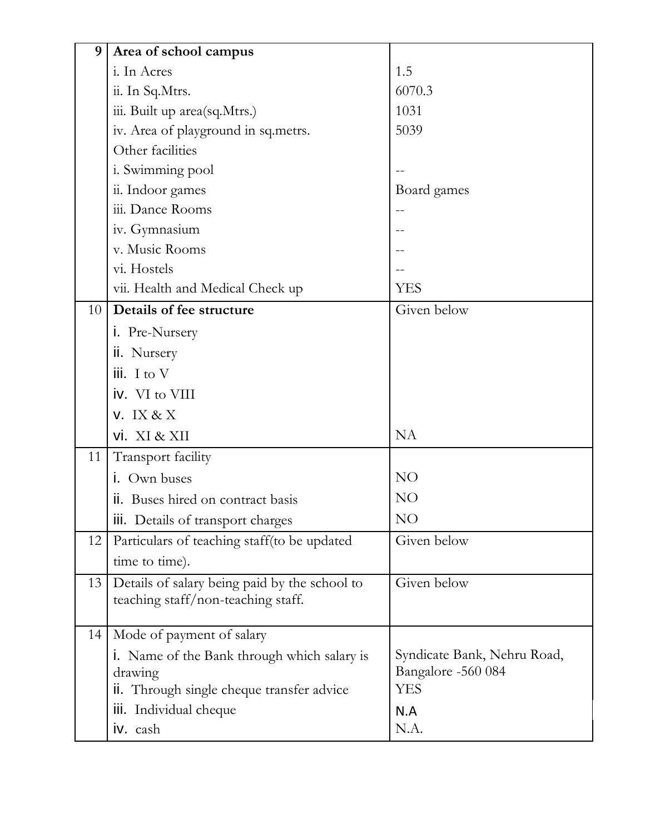| 9               | Area of school campus                                                               |                             |  |  |  |  |
|-----------------|-------------------------------------------------------------------------------------|-----------------------------|--|--|--|--|
|                 | i. In Acres                                                                         | 1.5                         |  |  |  |  |
|                 | ii. In Sq.Mtrs.                                                                     | 6070.3                      |  |  |  |  |
|                 | iii. Built up area(sq.Mtrs.)                                                        | 1031                        |  |  |  |  |
|                 | iv. Area of playground in sq.metrs.                                                 | 5039                        |  |  |  |  |
|                 | Other facilities                                                                    |                             |  |  |  |  |
|                 | i. Swimming pool                                                                    |                             |  |  |  |  |
|                 | ii. Indoor games                                                                    | Board games                 |  |  |  |  |
|                 | iii. Dance Rooms                                                                    |                             |  |  |  |  |
|                 | iv. Gymnasium                                                                       |                             |  |  |  |  |
|                 | v. Music Rooms                                                                      |                             |  |  |  |  |
|                 | vi. Hostels                                                                         |                             |  |  |  |  |
|                 | vii. Health and Medical Check up                                                    | <b>YES</b>                  |  |  |  |  |
| 10 <sup>1</sup> | Details of fee structure                                                            | Given below                 |  |  |  |  |
|                 | i. Pre-Nursery                                                                      |                             |  |  |  |  |
|                 | ii. Nursery                                                                         |                             |  |  |  |  |
|                 | $\mathsf{iii.}$ I to V                                                              |                             |  |  |  |  |
|                 | iv. VI to VIII                                                                      |                             |  |  |  |  |
|                 | $V.$ IX & X                                                                         |                             |  |  |  |  |
|                 | vi. XI & XII                                                                        | <b>NA</b>                   |  |  |  |  |
| 11              | Transport facility                                                                  |                             |  |  |  |  |
|                 | i. Own buses                                                                        | <b>NO</b>                   |  |  |  |  |
|                 | ii. Buses hired on contract basis                                                   | NO                          |  |  |  |  |
|                 | iii. Details of transport charges                                                   | NO                          |  |  |  |  |
| 12              | Particulars of teaching staff(to be updated                                         | Given below                 |  |  |  |  |
|                 | time to time).                                                                      |                             |  |  |  |  |
| 13              | Details of salary being paid by the school to<br>teaching staff/non-teaching staff. | Given below                 |  |  |  |  |
|                 |                                                                                     |                             |  |  |  |  |
| 14              | Mode of payment of salary                                                           |                             |  |  |  |  |
|                 | i. Name of the Bank through which salary is                                         | Syndicate Bank, Nehru Road, |  |  |  |  |
|                 | drawing                                                                             | Bangalore -560 084          |  |  |  |  |
|                 | ii. Through single cheque transfer advice                                           | <b>YES</b>                  |  |  |  |  |
|                 | iii. Individual cheque                                                              | N.A                         |  |  |  |  |
|                 | iv. cash                                                                            | N.A.                        |  |  |  |  |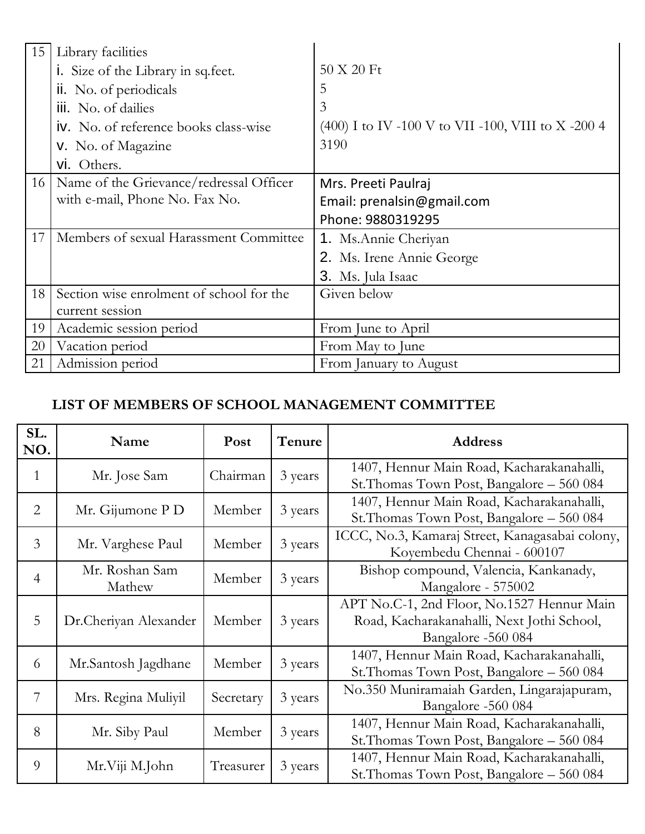| 15 | Library facilities                           |                                                      |
|----|----------------------------------------------|------------------------------------------------------|
|    | i. Size of the Library in sq. feet.          | $50 \text{ X } 20 \text{ Ft}$                        |
|    | ii. No. of periodicals                       | 5                                                    |
|    | iii. No. of dailies                          | 3                                                    |
|    | <b>iv.</b> No. of reference books class-wise | $(400)$ I to IV -100 V to VII -100, VIII to X -200 4 |
|    | <b>v.</b> No. of Magazine                    | 3190                                                 |
|    | vi. Others.                                  |                                                      |
| 16 | Name of the Grievance/redressal Officer      | Mrs. Preeti Paulraj                                  |
|    | with e-mail, Phone No. Fax No.               | Email: prenalsin@gmail.com                           |
|    |                                              | Phone: 9880319295                                    |
| 17 | Members of sexual Harassment Committee       | 1. Ms. Annie Cheriyan                                |
|    |                                              | 2. Ms. Irene Annie George                            |
|    |                                              | 3. Ms. Jula Isaac                                    |
| 18 | Section wise enrolment of school for the     | Given below                                          |
|    | current session                              |                                                      |
| 19 | Academic session period                      | From June to April                                   |
| 20 | Vacation period                              | From May to June                                     |
| 21 | Admission period                             | From January to August                               |

### **LIST OF MEMBERS OF SCHOOL MANAGEMENT COMMITTEE**

| SL.<br>NO. | Name                     | Post              | Tenure  | <b>Address</b>                                                                                                 |  |  |
|------------|--------------------------|-------------------|---------|----------------------------------------------------------------------------------------------------------------|--|--|
| 1          | Mr. Jose Sam             | Chairman          | 3 years | 1407, Hennur Main Road, Kacharakanahalli,<br>St. Thomas Town Post, Bangalore – 560 084                         |  |  |
| 2          | Mr. Gijumone P D         | Member            | 3 years | 1407, Hennur Main Road, Kacharakanahalli,<br>St. Thomas Town Post, Bangalore – 560 084                         |  |  |
| 3          | Mr. Varghese Paul        | Member<br>3 years |         | ICCC, No.3, Kamaraj Street, Kanagasabai colony,<br>Koyembedu Chennai - 600107                                  |  |  |
| 4          | Mr. Roshan Sam<br>Mathew | Member            | 3 years | Bishop compound, Valencia, Kankanady,<br>Mangalore - 575002                                                    |  |  |
| 5          | Dr.Cheriyan Alexander    | Member            | 3 years | APT No.C-1, 2nd Floor, No.1527 Hennur Main<br>Road, Kacharakanahalli, Next Jothi School,<br>Bangalore -560 084 |  |  |
| 6          | Mr.Santosh Jagdhane      | Member            | 3 years | 1407, Hennur Main Road, Kacharakanahalli,<br>St. Thomas Town Post, Bangalore – 560 084                         |  |  |
| 7          | Mrs. Regina Muliyil      | Secretary         | 3 years | No.350 Muniramaiah Garden, Lingarajapuram,<br>Bangalore -560 084                                               |  |  |
| 8          | Mr. Siby Paul            | Member            | 3 years | 1407, Hennur Main Road, Kacharakanahalli,<br>St. Thomas Town Post, Bangalore - 560 084                         |  |  |
| 9          | Mr.Viji M.John           | Treasurer         | 3 years | 1407, Hennur Main Road, Kacharakanahalli,<br>St. Thomas Town Post, Bangalore – 560 084                         |  |  |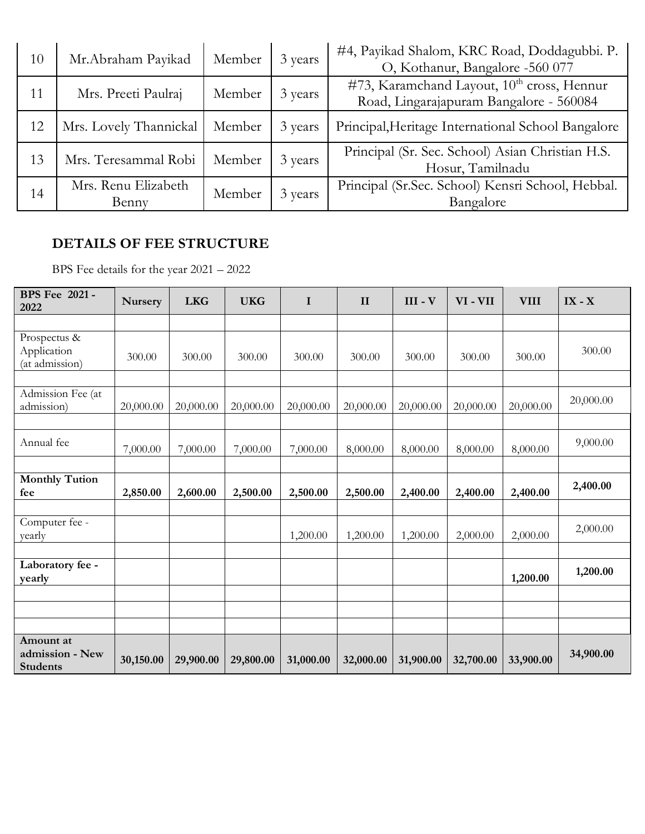| 10 | Mr.Abraham Payikad           | Member | 3 years | #4, Payikad Shalom, KRC Road, Doddagubbi. P.<br>O, Kothanur, Bangalore -560 077                   |
|----|------------------------------|--------|---------|---------------------------------------------------------------------------------------------------|
| 11 | Mrs. Preeti Paulraj          | Member | 3 years | #73, Karamchand Layout, 10 <sup>th</sup> cross, Hennur<br>Road, Lingarajapuram Bangalore - 560084 |
| 12 | Mrs. Lovely Thannickal       | Member | 3 years | Principal, Heritage International School Bangalore                                                |
| 13 | Mrs. Teresammal Robi         | Member | 3 years | Principal (Sr. Sec. School) Asian Christian H.S.<br>Hosur, Tamilnadu                              |
| 14 | Mrs. Renu Elizabeth<br>Benny | Member | 3 years | Principal (Sr.Sec. School) Kensri School, Hebbal.<br>Bangalore                                    |

#### **DETAILS OF FEE STRUCTURE**

BPS Fee details for the year 2021 – 2022

| <b>BPS</b> Fee 2021 -<br>2022                   | <b>Nursery</b> | <b>LKG</b> | <b>UKG</b> | $\mathbf I$ | $\mathbf{I}$ | $III - V$ | VI-VII    | <b>VIII</b> | $IX - X$  |
|-------------------------------------------------|----------------|------------|------------|-------------|--------------|-----------|-----------|-------------|-----------|
|                                                 |                |            |            |             |              |           |           |             |           |
| Prospectus &<br>Application<br>(at admission)   | 300.00         | 300.00     | 300.00     | 300.00      | 300.00       | 300.00    | 300.00    | 300.00      | 300.00    |
|                                                 |                |            |            |             |              |           |           |             |           |
| Admission Fee (at<br>admission)                 | 20,000.00      | 20,000.00  | 20,000.00  | 20,000.00   | 20,000.00    | 20,000.00 | 20,000.00 | 20,000.00   | 20,000.00 |
|                                                 |                |            |            |             |              |           |           |             |           |
| Annual fee                                      | 7,000.00       | 7,000.00   | 7,000.00   | 7,000.00    | 8,000.00     | 8,000.00  | 8,000.00  | 8,000.00    | 9,000.00  |
|                                                 |                |            |            |             |              |           |           |             |           |
| <b>Monthly Tution</b><br>fee                    | 2,850.00       | 2,600.00   | 2,500.00   | 2,500.00    | 2,500.00     | 2,400.00  | 2,400.00  | 2,400.00    | 2,400.00  |
|                                                 |                |            |            |             |              |           |           |             |           |
| Computer fee -<br>yearly                        |                |            |            | 1,200.00    | 1,200.00     | 1,200.00  | 2,000.00  | 2,000.00    | 2,000.00  |
|                                                 |                |            |            |             |              |           |           |             |           |
| Laboratory fee -<br>yearly                      |                |            |            |             |              |           |           | 1,200.00    | 1,200.00  |
|                                                 |                |            |            |             |              |           |           |             |           |
|                                                 |                |            |            |             |              |           |           |             |           |
|                                                 |                |            |            |             |              |           |           |             |           |
| Amount at<br>admission - New<br><b>Students</b> | 30,150.00      | 29,900.00  | 29,800.00  | 31,000.00   | 32,000.00    | 31,900.00 | 32,700.00 | 33,900.00   | 34,900.00 |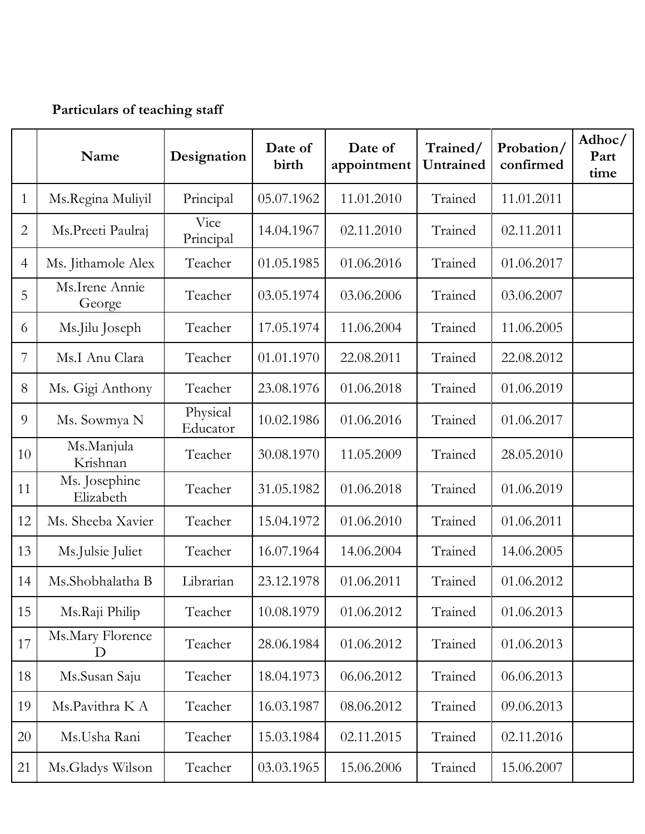# **Particulars of teaching staff**

|                | Name                       | Designation          | Date of<br>birth | Date of<br>appointment | Trained/<br>Untrained | Probation/<br>confirmed | Adhoc/<br>Part<br>time |
|----------------|----------------------------|----------------------|------------------|------------------------|-----------------------|-------------------------|------------------------|
| $\mathbf{1}$   | Ms.Regina Muliyil          | Principal            | 05.07.1962       | 11.01.2010             | Trained               | 11.01.2011              |                        |
| $\overline{2}$ | Ms.Preeti Paulraj          | Vice<br>Principal    | 14.04.1967       | 02.11.2010             | Trained               | 02.11.2011              |                        |
| $\overline{4}$ | Ms. Jithamole Alex         | Teacher              | 01.05.1985       | 01.06.2016             | Trained               | 01.06.2017              |                        |
| 5              | Ms.Irene Annie<br>George   | Teacher              | 03.05.1974       | 03.06.2006             | Trained               | 03.06.2007              |                        |
| 6              | Ms.Jilu Joseph             | Teacher              | 17.05.1974       | 11.06.2004             | Trained               | 11.06.2005              |                        |
| 7              | Ms.I Anu Clara             | Teacher              | 01.01.1970       | 22.08.2011             | Trained               | 22.08.2012              |                        |
| 8              | Ms. Gigi Anthony           | Teacher              | 23.08.1976       | 01.06.2018             | Trained               | 01.06.2019              |                        |
| 9              | Ms. Sowmya N               | Physical<br>Educator | 10.02.1986       | 01.06.2016             | Trained               | 01.06.2017              |                        |
| 10             | Ms.Manjula<br>Krishnan     | Teacher              | 30.08.1970       | 11.05.2009             | Trained               | 28.05.2010              |                        |
| 11             | Ms. Josephine<br>Elizabeth | Teacher              | 31.05.1982       | 01.06.2018             | Trained               | 01.06.2019              |                        |
| 12             | Ms. Sheeba Xavier          | Teacher              | 15.04.1972       | 01.06.2010             | Trained               | 01.06.2011              |                        |
| 13             | Ms.Julsie Juliet           | Teacher              | 16.07.1964       | 14.06.2004             | Trained               | 14.06.2005              |                        |
| 14             | Ms.Shobhalatha B           | Librarian            | 23.12.1978       | 01.06.2011             | Trained               | 01.06.2012              |                        |
| 15             | Ms.Raji Philip             | Teacher              | 10.08.1979       | 01.06.2012             | Trained               | 01.06.2013              |                        |
| 17             | Ms. Mary Florence<br>D     | Teacher              | 28.06.1984       | 01.06.2012             | Trained               | 01.06.2013              |                        |
| 18             | Ms.Susan Saju              | Teacher              | 18.04.1973       | 06.06.2012             | Trained               | 06.06.2013              |                        |
| 19             | Ms.Pavithra K A            | Teacher              | 16.03.1987       | 08.06.2012             | Trained               | 09.06.2013              |                        |
| 20             | Ms.Usha Rani               | Teacher              | 15.03.1984       | 02.11.2015             | Trained               | 02.11.2016              |                        |
| 21             | Ms.Gladys Wilson           | Teacher              | 03.03.1965       | 15.06.2006             | Trained               | 15.06.2007              |                        |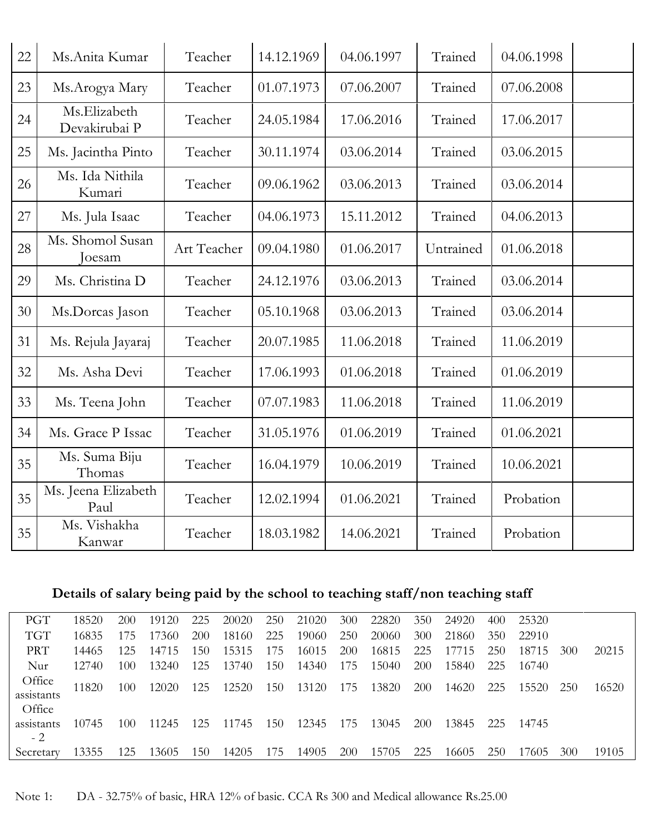| 22 | Ms.Anita Kumar                | Teacher     | 14.12.1969 | 04.06.1997 | Trained   | 04.06.1998 |  |
|----|-------------------------------|-------------|------------|------------|-----------|------------|--|
| 23 | Ms.Arogya Mary                | Teacher     | 01.07.1973 | 07.06.2007 | Trained   | 07.06.2008 |  |
| 24 | Ms.Elizabeth<br>Devakirubai P | Teacher     | 24.05.1984 | 17.06.2016 | Trained   | 17.06.2017 |  |
| 25 | Ms. Jacintha Pinto            | Teacher     | 30.11.1974 | 03.06.2014 | Trained   | 03.06.2015 |  |
| 26 | Ms. Ida Nithila<br>Kumari     | Teacher     | 09.06.1962 | 03.06.2013 | Trained   | 03.06.2014 |  |
| 27 | Ms. Jula Isaac                | Teacher     | 04.06.1973 | 15.11.2012 | Trained   | 04.06.2013 |  |
| 28 | Ms. Shomol Susan<br>Joesam    | Art Teacher | 09.04.1980 | 01.06.2017 | Untrained | 01.06.2018 |  |
| 29 | Ms. Christina D               | Teacher     | 24.12.1976 | 03.06.2013 | Trained   | 03.06.2014 |  |
| 30 | Ms.Dorcas Jason               | Teacher     | 05.10.1968 | 03.06.2013 | Trained   | 03.06.2014 |  |
| 31 | Ms. Rejula Jayaraj            | Teacher     | 20.07.1985 | 11.06.2018 | Trained   | 11.06.2019 |  |
| 32 | Ms. Asha Devi                 | Teacher     | 17.06.1993 | 01.06.2018 | Trained   | 01.06.2019 |  |
| 33 | Ms. Teena John                | Teacher     | 07.07.1983 | 11.06.2018 | Trained   | 11.06.2019 |  |
| 34 | Ms. Grace P Issac             | Teacher     | 31.05.1976 | 01.06.2019 | Trained   | 01.06.2021 |  |
| 35 | Ms. Suma Biju<br>Thomas       | Teacher     | 16.04.1979 | 10.06.2019 | Trained   | 10.06.2021 |  |
| 35 | Ms. Jeena Elizabeth<br>Paul   | Teacher     | 12.02.1994 | 01.06.2021 | Trained   | Probation  |  |
| 35 | Ms. Vishakha<br>Kanwar        | Teacher     | 18.03.1982 | 14.06.2021 | Trained   | Probation  |  |

# **Details of salary being paid by the school to teaching staff/non teaching staff**

| PGT        | 18520 | 200 | 19120 | 225 | 20020 | 250 | 21020 | 300        | 22820 | 350        | 24920 | 400 | 25320 |                 |       |
|------------|-------|-----|-------|-----|-------|-----|-------|------------|-------|------------|-------|-----|-------|-----------------|-------|
| <b>TGT</b> | 16835 | 175 | 17360 | 200 | 18160 | 225 | 19060 | 250        | 20060 | 300        | 21860 | 350 | 22910 |                 |       |
| <b>PRT</b> | 14465 | 125 | 14715 | 150 | 15315 | 175 | 16015 | 200        | 16815 | 225        | 17715 | 250 | 18715 | 30 <sub>0</sub> | 20215 |
| Nur        | 12740 | 100 | 13240 | 125 | 13740 | 150 | 14340 | 175        | 15040 | <b>200</b> | 15840 | 225 | 16740 |                 |       |
| Office     | 11820 | 100 | 12020 | 125 | 12520 | 150 | 13120 | 175        | 13820 | <b>200</b> | 14620 | 225 | 15520 | <b>250</b>      | 16520 |
| assistants |       |     |       |     |       |     |       |            |       |            |       |     |       |                 |       |
| Office     |       |     |       |     |       |     |       |            |       |            |       |     |       |                 |       |
| assistants | 10745 | 100 | 11245 | 125 | 11745 | 150 | 12345 | 175        | 13045 | 200        | 13845 | 225 | 14745 |                 |       |
| $-2$       |       |     |       |     |       |     |       |            |       |            |       |     |       |                 |       |
| Secretary  | 13355 | 125 | 13605 | 150 | 14205 | 175 | 14905 | <b>200</b> | 15705 | 225        | 16605 | 250 | 17605 | 30 <sub>0</sub> | 19105 |